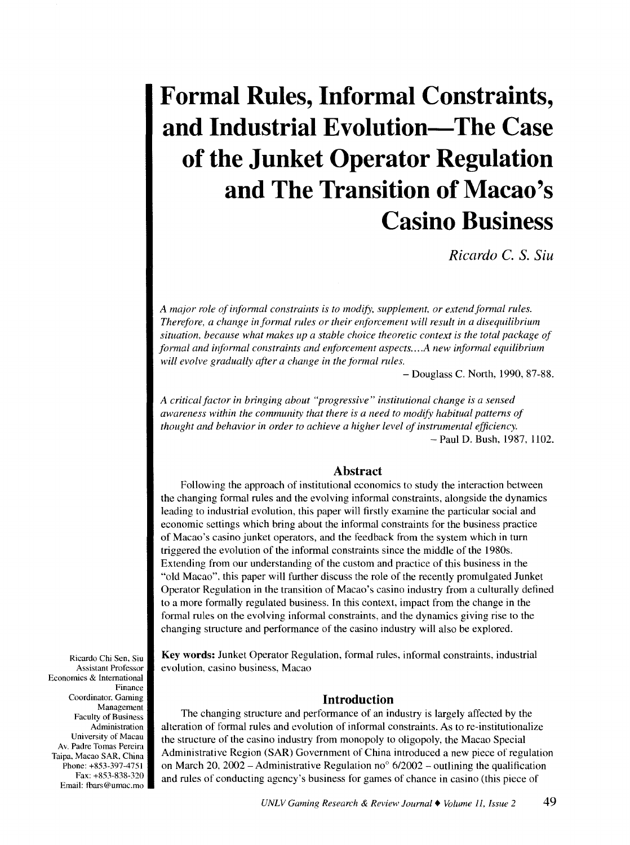# **Formal Rules, Informal Constraints, and Industrial Evolution-The Case of the Junket Operator Regulation and The Transition of Macao's Casino Business**

*Ricardo C. S. Siu* 

*A major role of informal constraints is to modify, supplement, or extend formal rules. Therefore, a change informal rules or their enforcement will result in a disequilibrium situation, because what makes up a stable choice theoretic context is the total package of formal and informal constraints and enforcement aspects .... A new infonnal equilibrium will evolve gradually after a change in the formal rules.* 

-Douglass C. North, 1990, 87-88.

*A critical factor in bringing about "progressive" institutional change is a sensed awareness within the community that there is a need to modify habitual patterns of thought and behavior in order to achieve a higher level of instrumental efficiency.* -Paul D. Bush, 1987, 1102.

# **Abstract**

Following the approach of institutional economics to study the interaction between the changing formal rules and the evolving informal constraints, alongside the dynamics leading to industrial evolution, this paper will firstly examine the particular social and economic settings which bring about the informal constraints for the business practice of Macao's casino junket operators, and the feedback from the system which in turn triggered the evolution of the informal constraints since the middle of the 1980s. Extending from our understanding of the custom and practice of this business in the "old Macao". this paper will further discuss the role of the recently promulgated Junket Operator Regulation in the transition of Macao's casino industry from a culturally defined to a more formally regulated business. In this context, impact from the change in the formal rules on the evolving informal constraints, and the dynamics giving rise to the changing structure and performance of the casino industry will also be explored.

Key words: Junket Operator Regulation, formal rules, informal constraints, industrial evolution, casino business, Macao

# **Introduction**

The changing structure and performance of an industry is largely affected by the alteration of formal rules and evolution of informal constraints. As tore-institutionalize the structure of the casino industry from monopoly to oligopoly, the Macao Special Administrative Region (SAR) Government of China introduced a new piece of regulation on March 20, 2002 – Administrative Regulation no<sup>o</sup>  $6/2002$  – outlining the qualification and rules of conducting agency's business for games of chance in casino (this piece of

Ricardo Chi Sen, Siu Assistant Professor Economics & International Finance Coordinator. Gaming Management Faculty of Business Administration University of Macau Av. Padre Tomas Pereira Taipa, Macao SAR, China Phone: +853-397-4751 Fax:+853-838-320 Email: fbars@umac.mo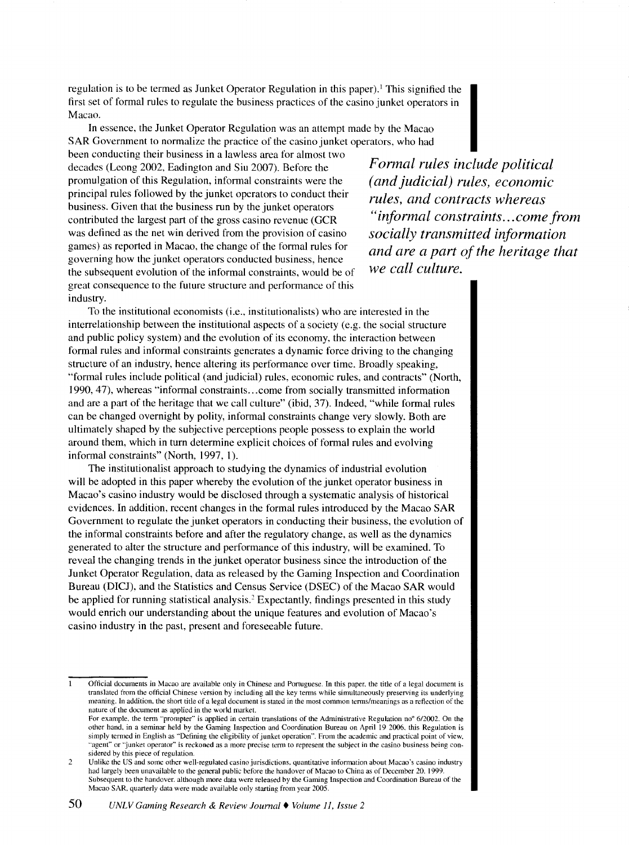regulation is to be termed as Junket Operator Regulation in this paper). 1 This signified the first set of formal rules to regulate the business practices of the casino junket operators in Macao.

In essence, the Junket Operator Regulation was an attempt made by the Macao SAR Government to normalize the practice of the casino junket operators, who had

been conducting their business in a lawless area for almost two decades (Leong 2002, Eadington and Siu 2007). Before the promulgation of this Regulation, informal constraints were the principal rules followed by the junket operators to conduct their business. Given that the business run by the junket operators contributed the largest part of the gross casino revenue (GCR was defined as the net win derived from the provision of casino games) as reported in Macao, the change of the formal rules for governing how the junket operators conducted business, hence the subsequent evolution of the informal constraints, would be of great consequence to the future structure and performance of this industry.

*Formal rules include political (and judicial) rules, economic rules, and contracts whereas "informal constraints ... come from socially transmitted information and are a part of the heritage that we call culture.* 

To the institutional economists (i.e., institutionalists) who are interested in the interrelationship between the institutional aspects of a society (e.g. the social structure and public policy system) and the evolution of its economy, the interaction between formal rules and informal constraints generates a dynamic force driving to the changing structure of an industry, hence altering its performance over time. Broadly speaking, "formal rules include political (and judicial) rules, economic rules, and contracts" (North, 1990, 47), whereas "informal constraints ... come from socially transmitted information and are a part of the heritage that we call culture" (ibid, 37). Indeed, "while formal rules can be changed overnight by polity, informal constraints change very slowly. Both are ultimately shaped by the subjective perceptions people possess to explain the world around them, which in turn determine explicit choices of formal rules and evolving informal constraints" (North, 1997, I).

The institutionalist approach to studying the dynamics of industrial evolution will be adopted in this paper whereby the evolution of the junket operator business in Macao's casino industry would be disclosed through a systematic analysis of historical evidences. In addition, recent changes in the formal rules introduced by the Macao SAR Government to regulate the junket operators in conducting their business, the evolution of the informal constraints before and after the regulatory change, as well as the dynamics generated to alter the structure and performance of this industry, will be examined. To reveal the changing trends in the junket operator business since the introduction of the Junket Operator Regulation, data as released by the Gaming Inspection and Coordination Bureau (DICJ), and the Statistics and Census Service (DSEC) of the Macao SAR would be applied for running statistical analysis." Expectantly, findings presented in this study would enrich our understanding about the unique features and evolution of Macao's casino industry in the past, present and foreseeable future.

Official documents in Macao are available only in Chinese and Portuguese. In this paper. the title of a legal document is translated from the official Chinese version by including all the key terms while simultaneously preserving its underlying meaning. In addition. the short title of a legal document is stated in the most common terms/meanings as a reflection of the nature of the document as applied in the world market.

For example, the term "prompter" is applied in certain translations of the Administrative Regulation no<sup>o</sup> 6/2002. On the other hand. in a sentinar held by the Ganting Inspection and Coordination Bureau on April 19 2006. this Regulation is simply termed in English as "Defining the eligibility of junket operation". From the academic and practical point of view, "agent" or "junket operator" is reckoned as a more precise term to represent the subject in the casino business being considered by this piece of regulation.

<sup>2</sup> Unlike the US and some other well-regulated casino jurisdictions. quantitative infonnation about Macao's casino industry had largely been unavailable to the general public before the handover of Macao to China as of December 20. 1999. Subsequent to the handover. although more data were released by the Gaming Inspection and Coordination Bureau of the Macao SAR. quarterly data were made available only starting from year 2005.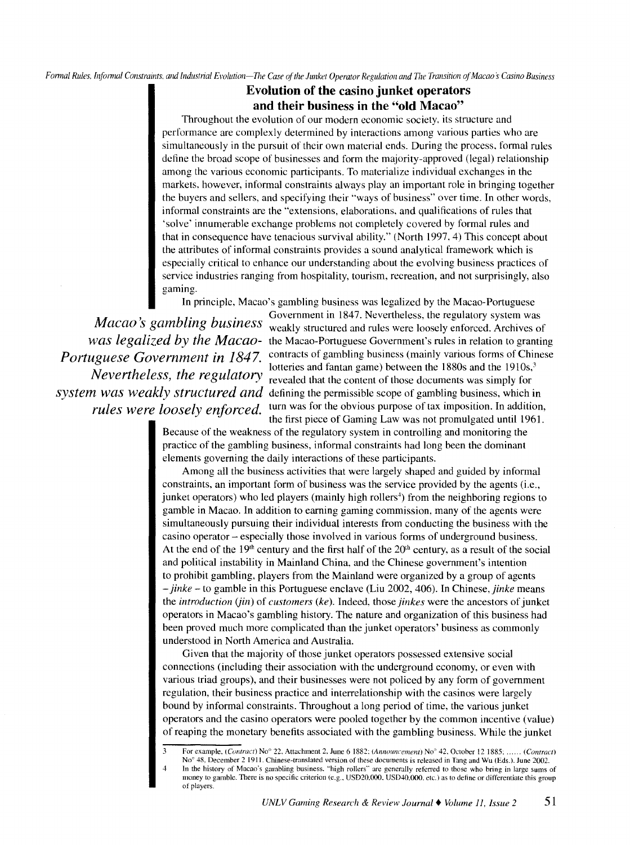Formal Rules, Informal Constraints, and Industrial Evolution-The Case of the Junket Operator Regulation and The Transition of Macao's Casino Business

# **Evolution of the casino junket operators and their business in the "old Macao"**

Throughout the evolution of our modern economic society. its structure and performance are complexly determined by interactions among various parties who are simultaneously in the pursuit of their own material ends. During the process. formal rules define the broad scope of businesses and form the majority-approved (legal) relationship among the various economic participants. To materialize individual exchanges in the markets. however, informal constraints always play an important role in bringing together the buyers and sellers, and specifying their "ways of business" over time. In other words, informal constraints are the "extensions, elaborations. and qualifications of rules that 'solve' innumerable exchange problems not completely covered by formal rules and that in consequence have tenacious survival ability." (North 1997, 4) This concept about the attributes of informal constraints provides a sound analytical framework which is especially critical to enhance our understanding about the evolving business practices of service industries ranging from hospitality, tourism, recreation, and not surprisingly, also gaming.

In principle, Macao's gambling business was legalized by the Macao-Portuguese

*Macao s gambling business Portuguese Government in 1847. rules were loosely enforced.* 

of players.

*was legalized by the Macao-*the Macao-Portuguese Government's rules in relation to granting *Nevertheless, the regulatory* lotteries and fantan game) between the 1880s and the 1910s,<sup>3</sup><br>Nevertheless, the regulatory revealed that the content of those documents was simply for *system was weakly structured and* defining the permissible scope of gambling business, which in Government in 1847. Nevertheless, the regulatory system was weakly structured and rules were loosely enforced. Archives of contracts of gambling business (mainly various forms of Chinese revealed that the content of those documents was simply for turn was for the obvious purpose of tax imposition. In addition, the first piece of Gaming Law was not promulgated until 1961.

Because of the weakness of the regulatory system in controlling and monitoring the practice of the gambling business, informal constraints had long been the dominant elements governing the daily interactions of these participants.

Among all the business activities that were largely shaped and guided by informal constraints, an important form of business was the service provided by the agents (i.e., junket operators) who led players (mainly high rollers<sup>4</sup>) from the neighboring regions to gamble in Macao. In addition to earning gaming commission, many of the agents were simultaneously pursuing their individual interests from conducting the business with the casino operator- especially those involved in various forms of underground business. At the end of the  $19<sup>th</sup>$  century and the first half of the  $20<sup>th</sup>$  century, as a result of the social and political instability in Mainland China. and the Chinese government's intention to prohibit gambling, players from the Mainland were organized by a group of agents - *jinke-* to gamble in this Portuguese enclave (Liu 2002, 406). In Chinese, *jinke* means the *introduction (jin)* of *customers (ke* ). Indeed, those *jinkes* were the ancestors of junket operators in Macao's gambling history. The nature and organization of this business had been proved much more complicated than the junket operators' business as commonly understood in North America and Australia.

Given that the majority of those junket operators possessed extensive social connections (including their association with the underground economy, or even with various triad groups), and their businesses were not policed by any form of government regulation, their business practice and interrelationship with the casinos were largely bound by informal constraints. Throughout a long period of time, the various junket operators and the casino operators were pooled together by the common incentive (value) of reaping the monetary benefits associated with the gambling business. While the junket

<sup>3</sup> For example. (Contract) Noo 22. Attachment 2.June 6 1882: (Announcement) Noo 42. October 12 1885: *......* (Contract) No<sup>o</sup> 48. December 2 1911. Chinese-translated version of these documents is released in Tang and Wu (Eds.). June 2002. In the history of Macao's gambling business. "high rollers" are generally referred to those who bring in large sums of money to gamble. There is no specific criterion (e.g., USD20,000, USD40,000, etc.) as to define or differentiate this group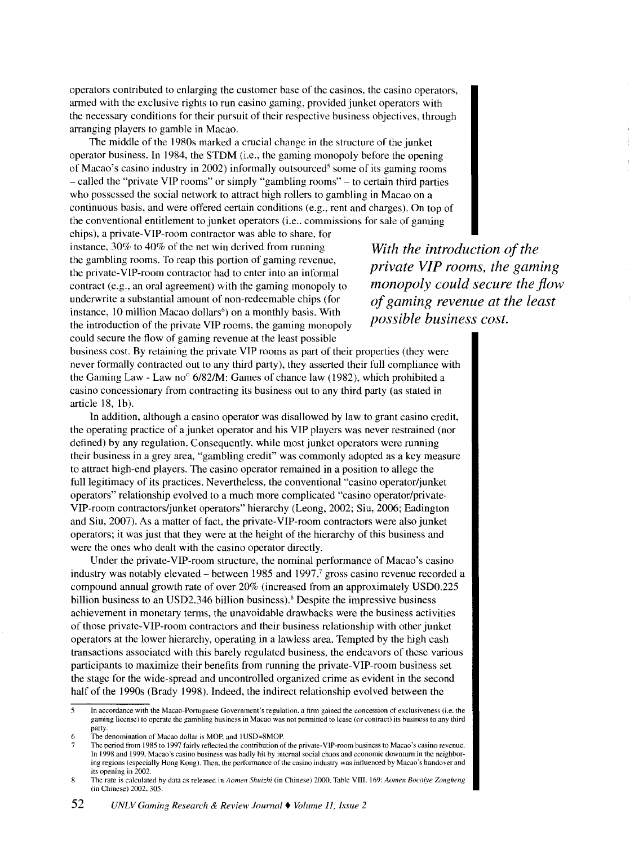operators contributed to enlarging the customer base of the casinos, the casino operators, armed with the exclusive rights to run casino gaming, provided junket operators with the necessary conditions for their pursuit of their respective business objectives, through arranging players to gamble in Macao.

The middle of the 1980s marked a crucial change in the structure of the junket operator business. In 1984, the STDM (i.e., the gaming monopoly before the opening of Macao's casino industry in 2002) informally outsourced<sup>5</sup> some of its gaming rooms -called the "private VIP rooms" or simply "gambling rooms"- to certain third parties who possessed the social network to attract high rollers to gambling in Macao on a continuous basis, and were offered certain conditions (e.g., rent and charges). On top of the conventional entitlement to junket operators (i.e., commissions for sale of gaming

chips), a private-YIP-room contractor was able to share, for instance, 30% to 40% of the net win derived from running the gambling rooms. To reap this portion of gaming revenue, the private-YIP-room contractor had to enter into an informal contract (e.g., an oral agreement) with the gaming monopoly to underwrite a substantial amount of non-redeemable chips (for instance, 10 million Macao dollars<sup>6</sup>) on a monthly basis. With the introduction of the private VIP rooms, the gaming monopoly could secure the flow of gaming revenue at the least possible

*With the introduction of the private VIP rooms, the gaming monopoly could secure the flow of gaming revenue at the least possible business cost.* 

business cost. By retaining the private VIP rooms as part of their properties (they were never formally contracted out to any third party), they asserted their full compliance with the Gaming Law - Law no<sup>o</sup>  $6/82/M$ : Games of chance law (1982), which prohibited a casino concessionary from contracting its business out to any third party (as stated in article  $18$ ,  $1<sub>b</sub>$ ).

In addition, although a casino operator was disallowed by law to grant casino credit, the operating practice of a junket operator and his VIP players was never restrained (nor defined) by any regulation. Consequently, while most junket operators were running their business in a grey area, "gambling credit" was commonly adopted as a key measure to attract high-end players. The casino operator remained in a position to allege the full legitimacy of its practices. Nevertheless, the conventional "casino operator/junket operators" relationship evolved to a much more complicated "casino operator/private-YIP-room contractors/junket operators" hierarchy (Leong, 2002; Siu, 2006; Eadington and Siu, 2007). As a matter of fact, the private-YIP-room contractors were also junket operators; it was just that they were at the height of the hierarchy of this business and were the ones who dealt with the casino operator directly.

Under the private-YIP-room structure, the nominal performance of Macao's casino industry was notably elevated  $-$  between 1985 and 1997, $\frac{7}{5}$  gross casino revenue recorded a compound annual growth rate of over 20% (increased from an approximately USD0.225 billion business to an USD2.346 billion business). 8 Despite the impressive business achievement in monetary terms, the unavoidable drawbacks were the business activities of those private-YIP-room contractors and their business relationship with other junket operators at the lower hierarchy, operating in a lawless area. Tempted by the high cash transactions associated with this barely regulated business, the endeavors of these various participants to maximize their benefits from running the private-YIP-room business set the stage for the wide-spread and uncontrolled organized crime as evident in the second half of the 1990s (Brady 1998). Indeed, the indirect relationship evolved between the

In accordance with the Macao-Portuguese Government's regulation, a firm gained the concession of exclusiveness (i.e. the gaming license) to operate the gambling business in Macao was not pennitted to lease (or contract) its business to any third party.

The denomination of Macao dollar is MOP. and 1USD=8MOP.

<sup>7</sup> The period from 1985 to 1997 fairly reflected the contribution of the private-YIP-room business to Macao's casino revenue. In 1998 and 1999. Macao's casino business was badly hit by internal social chaos and econmnic downturn in the neighboring regions (especially Hong Kong). Then, the performance of the casino industry was influenced by Macao's handover and its opening in 2002.

The rate is calculated by data as released in *Aomen Shuizhi* (in Chinese) 2000. Table VIII. 169: *Aomen Bocaiye Zongheng* (in Chinese) 2002. 305.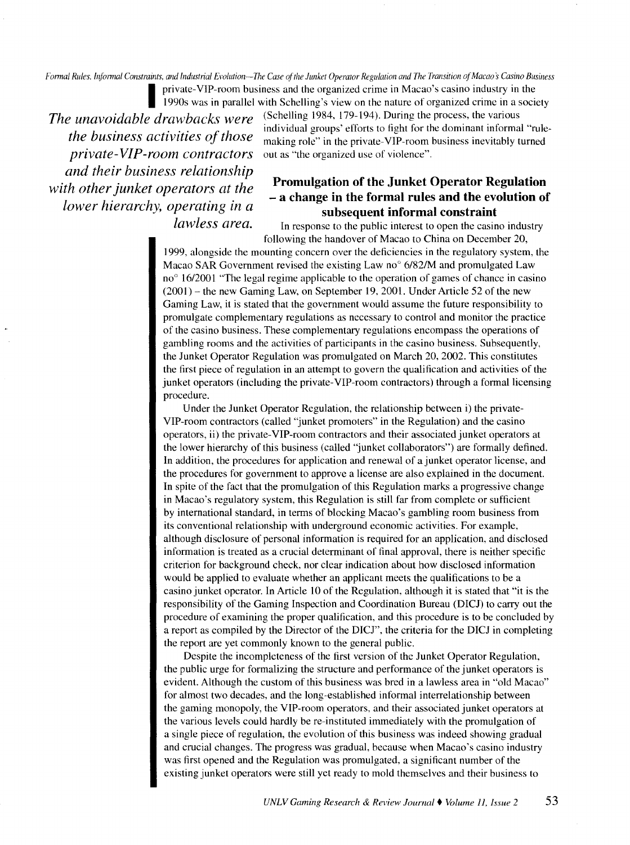*Formal Rules. lnfonnal Constraints, and Industrial Evolution-The Case of the Junket Operator Regularion and The Transition of Macao s Casino Business* 

*the business activities of those private-VIP-room contractors and their business relationship with other junket operators at the lower hierarchy, operating in a lawless area.* 

private-VIP-room business and the organized crime in Macao's casino industry in the 1990s was in parallel with Schelling's view on the nature of organized crime in a society *The unavoidable drawbacks were* (Schelling 1984, 179-194). During the process, the various individual groups' efforts to fight for the dominant informal "rulemaking role" in the private-YIP-room business inevitably turned out as "the organized use of violence".

# **Promulgation of the Junket Operator Regulation**  - **a change in the formal rules and the evolution of subsequent informal constraint**

In response to the public interest to open the casino industry following the handover of Macao to China on December 20,

1999, alongside the mounting concern over the deficiencies in the regulatory system, the Macao SAR Government revised the existing Law no $\degree$  6/82/M and promulgated Law  $no<sup>o</sup> 16/2001$  "The legal regime applicable to the operation of games of chance in casino  $(2001)$  – the new Gaming Law, on September 19, 2001. Under Article 52 of the new Gaming Law, it is stated that the government would assume the future responsibility to promulgate complementary regulations as necessary to control and monitor the practice of the casino business. These complementary regulations encompass the operations of gambling rooms and the activities of participants in the casino business. Subsequently, the Junket Operator Regulation was promulgated on March 20, 2002. This constitutes the first piece of regulation in an attempt to govern the qualification and activities of the junket operators (including the private-YIP-room contractors) through a formal licensing procedure.

Under the Junket Operator Regulation, the relationship between i) the private-YIP-room contractors (called "junket promoters" in the Regulation) and the casino operators, ii) the private-YIP-room contractors and their associated junket operators at the lower hierarchy of this business (called "junket collaborators") are formally defined. In addition, the procedures for application and renewal of a junket operator license, and the procedures for government to approve a license are also explained in the document. In spite of the fact that the promulgation of this Regulation marks a progressive change in Macao's regulatory system, this Regulation is still far from complete or sufficient by international standard, in terms of blocking Macao's gambling room business from its conventional relationship with underground economic activities. For example, although disclosure of personal information is required for an application, and disclosed information is treated as a crucial determinant of final approval, there is neither specific criterion for background check, nor clear indication about how disclosed information would be applied to evaluate whether an applicant meets the qualifications to be a casino junket operator. In Article 10 of the Regulation, although it is stated that "it is the responsibility of the Gaming Inspection and Coordination Bureau (DICJ) to carry out the procedure of examining the proper qualification, and this procedure is to be concluded by a report as compiled by the Director of the DICJ", the criteria for the DICJ in completing the report are yet commonly known to the general public.

Despite the incompleteness of the first version of the Junket Operator Regulation, the public urge for formalizing the structure and performance of the junket operators is evident. Although the custom of this business was bred in a lawless area in "old Macao" for almost two decades, and the long-established informal interrelationship between the gaming monopoly, the YIP-room operators, and their associated junket operators at the various levels could hardly be re-instituted immediately with the promulgation of a single piece of regulation, the evolution of this business was indeed showing gradual and crucial changes. The progress was gradual, because when Macao's casino industry was first opened and the Regulation was promulgated, a significant number of the existing junket operators were still yet ready to mold themselves and their business to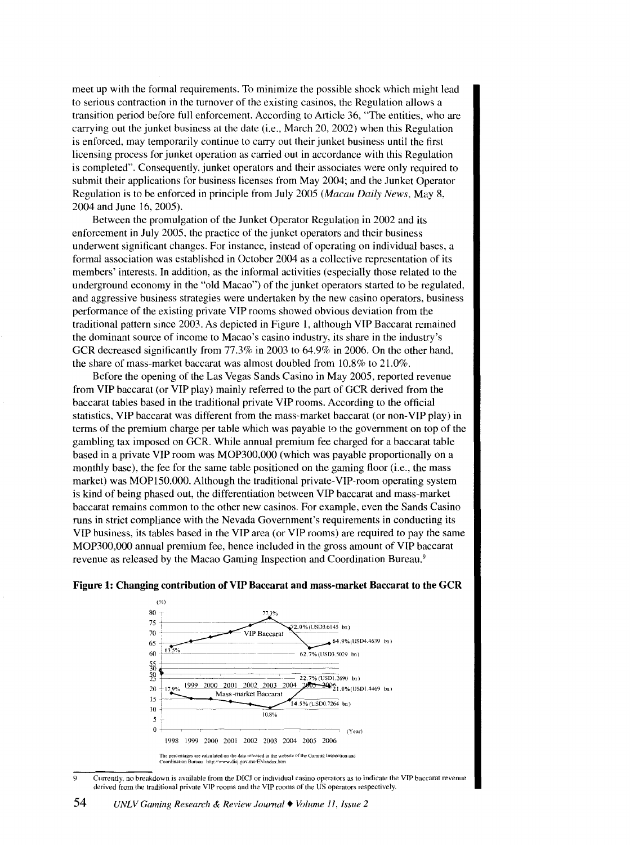meet up with the formal requirements. To minimize the possible shock which might lead to serious contraction in the turnover of the existing casinos, the Regulation allows a transition period before full enforcement. According to Article 36, 'The entities, who are carrying out the junket business at the date (i.e., March 20, 2002) when this Regulation is enforced, may temporarily continue to carry out their junket business until the first licensing process for junket operation as carried out in accordance with this Regulation is completed". Consequently, junket operators and their associates were only required to submit their applications for business licenses from May 2004; and the Junket Operator Regulation is to be enforced in principle from July 2005 *(Macau Daily News,* May 8, 2004 and June 16, 2005).

Between the promulgation of the Junket Operator Regulation in 2002 and its enforcement in July 2005, the practice of the junket operators and their business underwent significant changes. For instance, instead of operating on individual bases, a formal association was established in October 2004 as a collective representation of its members' interests. In addition, as the informal activities (especially those related to the underground economy in the "old Macao") of the junket operators started to be regulated, and aggressive business strategies were undertaken by the new casino operators, business performance of the existing private VIP rooms showed obvious deviation from the traditional pattern since 2003. As depicted in Figure 1, although VIP Baccarat remained the dominant source of income to Macao's casino industry, its share in the industry's GCR decreased significantly from 77.3% in 2003 to 64.9% in 2006. On the other hand. the share of mass-market baccarat was almost doubled from 10.8% to 21.0%.

Before the opening of the Las Vegas Sands Casino in May 2005, reported revenue from VIP baccarat (or VIP play) mainly referred to the part of GCR derived from the baccarat tables based in the traditional private VIP rooms. According to the official statistics, VIP baccarat was different from the mass-market baccarat (or non-VIP play) in terms of the premium charge per table which was payable to the government on top of the gambling tax imposed on GCR. While annual premium fee charged for a baccarat table based in a private VIP room was MOP300,000 (which was payable proportionally on a monthly base), the fee for the same table positioned on the gaming floor (i.e., the mass market) was MOP150,000. Although the traditional private-YIP-room operating system is kind of being phased out, the differentiation between VIP baccarat and mass-market baccarat remains common to the other new casinos. For example, even the Sands Casino runs in strict compliance with the Nevada Government's requirements in conducting its VIP business, its tables based in the VIP area (or VIP rooms) are required to pay the same MOP300,000 annual premium fee, hence included in the gross amount of VIP baccarat revenue as released by the Macao Gaming Inspection and Coordination Bureau. <sup>9</sup>



#### **Figure 1: Changing contribution of VIP Baccarat and mass-market Baccarat to the GCR**

9 Currently. no breakdown is available from the DICJ or individual casino operators as to indicate the VIP baccarat revenue derived from the traditional private VIP rooms and the VIP rooms of the US operators respectively.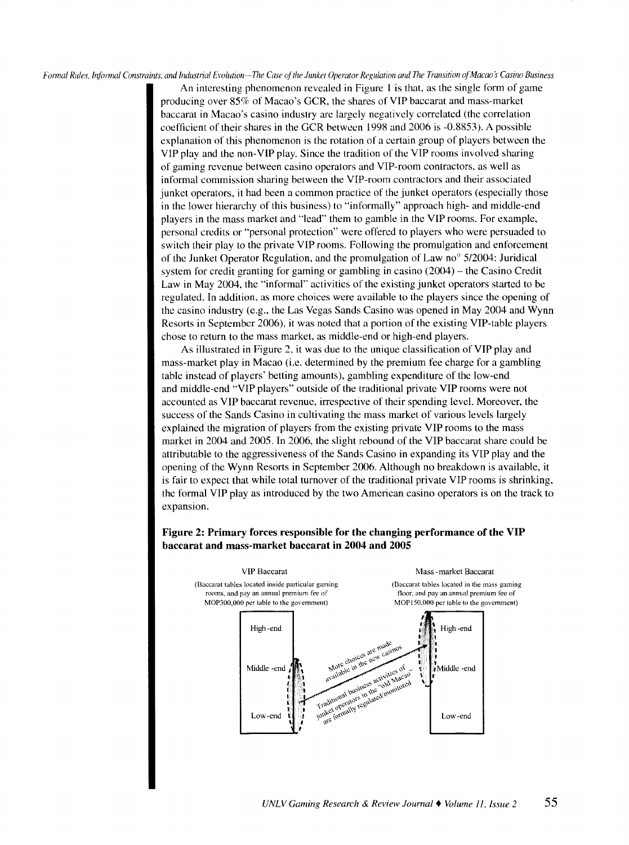Formal Rules. Informal Constraints, and Industrial Evolution-The Case of the Junket Operator Regulation and The Transition of Macao's Casino Business

An interesting phenomenon revealed in Figure I is that, as the single form of game producing over 85% of Macao's GCR, the shares of VIP baccarat and mass-market baccarat in Macao's casino industry arc largely negatively correlated (the correlation coefficient of their shares in the GCR between 1998 and 2006 is -0.8853 ). A possible explanation of this phenomenon is the rotation of a certain group of players between the VIP play and the non-VIP play. Since the tradition of the VIP rooms involved sharing of gaming revenue between casino operators and YIP-room contractors, as well as informal commission sharing between the YIP-room contractors and their associated junket operators, it had been a common practice of the junket operators (especially those in the lower hierarchy of this business) to "informally" approach high- and middle-end players in the mass market and '"lead" them to gamble in the VIP rooms. For example, personal credits or "personal protection" were offered to players who were persuaded to switch their play to the private VIP rooms. Following the promulgation and enforcement of the Junket Operator Regulation, and the promulgation of Law no<sup>o</sup>  $5/2004$ : Juridical system for credit granting for gaming or gambling in casino  $(2004)$  – the Casino Credit Law in May 2004, the "informal" activities of the existing junket operators started to be regulated. In addition. as more choices were available to the players since the opening of the casino industry (e.g., the Las Vegas Sands Casino was opened in May 2004 and Wynn Resorts in September 2006 ), it was noted that a portion of the existing YIP-table players chose to return to the mass market, as middle-end or high-end players.

As illustrated in Figure 2, it was due to the unique classification of VIP play and mass-market play in Macao (i.e. determined by the premium fee charge for a gambling table instead of players' betting amounts), gambling expenditure of the low-end and middle-end "VIP players" outside of the traditional private VIP rooms were not accounted as VIP baccarat revenue, irrespective of their spending level. Moreover, the success of the Sands Casino in cultivating the mass market of various levels largely explained the migration of players from the existing private VIP rooms to the mass market in 2004 and 2005. In 2006, the slight rebound of the VIP baccarat share could be attributable to the aggressiveness of the Sands Casino in expanding its VIP play and the opening of the Wynn Resorts in September 2006. Although no breakdown is available, it is fair to expect that while total turnover of the traditional private VIP rooms is shrinking, the formal VIP play as introduced by the two American casino operators is on the track to expansion.



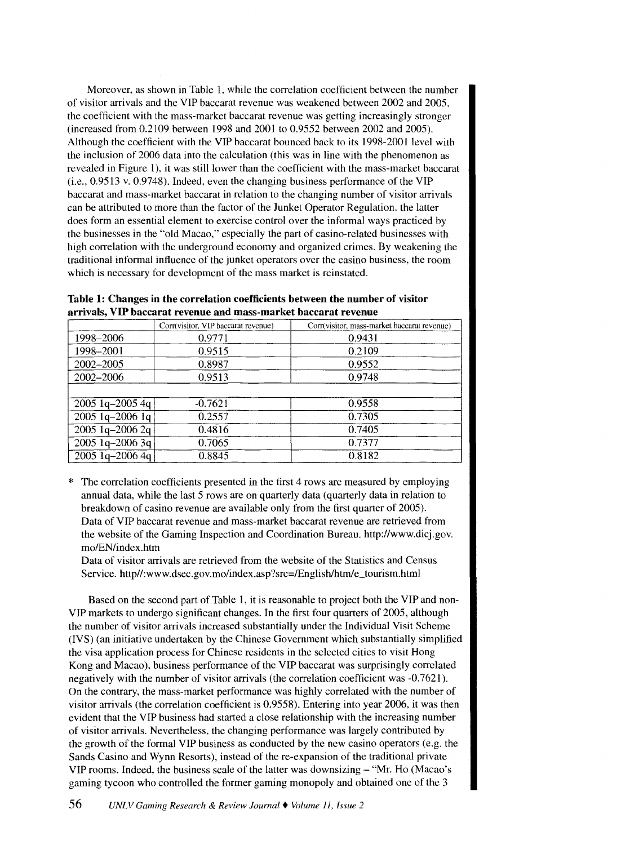Moreover, as shown in Table 1, while the correlation coefficient between the number of visitor arrivals and the VIP baccarat revenue was weakened between 2002 and 2005, the coefficient with the mass-market baccarat revenue was getting increasingly stronger (increased from 0.2109 between 1998 and 2001 to 0.9552 between 2002 and 2005). Although the coefficient with the VIP baccarat bounced back to its 1998-2001 level with the inclusion of 2006 data into the calculation (this was in line with the phenomenon as revealed in Figure 1), it was still lower than the coefficient with the mass-market baccarat (i.e., 0.9513 v. 0.9748). Indeed, even the changing business performance of the VIP baccarat and mass-market baccarat in relation to the changing number of visitor arrivals can be attributed to more than the factor of the Junket Operator Regulation. the latter does form an essential element to exercise control over the informal ways practiced by the businesses in the "old Macao." especially the part of casino-related businesses with high correlation with the underground economy and organized crimes. By weakening the traditional informal influence of the junket operators over the casino business, the room which is necessary for development of the mass market is reinstated.

|  | Table 1: Changes in the correlation coefficients between the number of visitor |  |  |
|--|--------------------------------------------------------------------------------|--|--|
|  | arrivals, VIP baccarat revenue and mass-market baccarat revenue                |  |  |

|                   | Corr(visitor, VIP baccarat revenue) | Corr(visitor, mass-market baccarat revenue) |
|-------------------|-------------------------------------|---------------------------------------------|
| 1998-2006         | 0.9771                              | 0.9431                                      |
| 1998-2001         | 0.9515                              | 0.2109                                      |
| 2002-2005         | 0.8987                              | 0.9552                                      |
| 2002-2006         | 0.9513                              | 0.9748                                      |
|                   |                                     |                                             |
| $2005$ 1q-2005 4q | $-0.7621$                           | 0.9558                                      |
| $2005$ 1q-2006 1q | 0.2557                              | 0.7305                                      |
| $2005$ 1q-2006 2q | 0.4816                              | 0.7405                                      |
| $2005$ 1q-2006 3q | 0.7065                              | 0.7377                                      |
| $2005$ 1q-2006 4q | 0.8845                              | 0.8182                                      |

The correlation coefficients presented in the first 4 rows are measured by employing annual data, while the last 5 rows are on quarterly data (quarterly data in relation to breakdown of casino revenue are available only from the first quarter of 2005). Data of VIP baccarat revenue and mass-market baccarat revenue are retrieved from the website of the Gaming Inspection and Coordination Bureau. http://www.dicj.gov. mo/EN/index.htm

Data of visitor arrivals are retrieved from the website of the Statistics and Census Service. http//:www.dsec.gov.mo/index.asp?src=/English/htm/e\_tourism.html

Based on the second part of Table 1, it is reasonable to project both the VIP and non-YIP markets to undergo significant changes. In the first four quarters of 2005, although the number of visitor arrivals increased substantially under the Individual Visit Scheme (IVS) (an initiative undertaken by the Chinese Government which substantially simplified the visa application process for Chinese residents in the selected cities to visit Hong Kong and Macao), business performance of the VIP baccarat was surprisingly correlated negatively with the number of visitor arrivals (the correlation coefficient was -0.7621 ). On the contrary, the mass-market performance was highly correlated with the number of visitor arrivals (the correlation coefficient is 0.9558). Entering into year 2006, it was then evident that the VIP business had started a close relationship with the increasing number of visitor arrivals. Nevertheless, the changing performance was largely contributed by the growth of the formal VIP business as conducted by the new casino operators (e.g. the Sands Casino and Wynn Resorts), instead of the re-expansion of the traditional private VIP rooms. Indeed, the business scale of the latter was downsizing- "Mr. Ho (Macao's gaming tycoon who controlled the former gaming monopoly and obtained one of the 3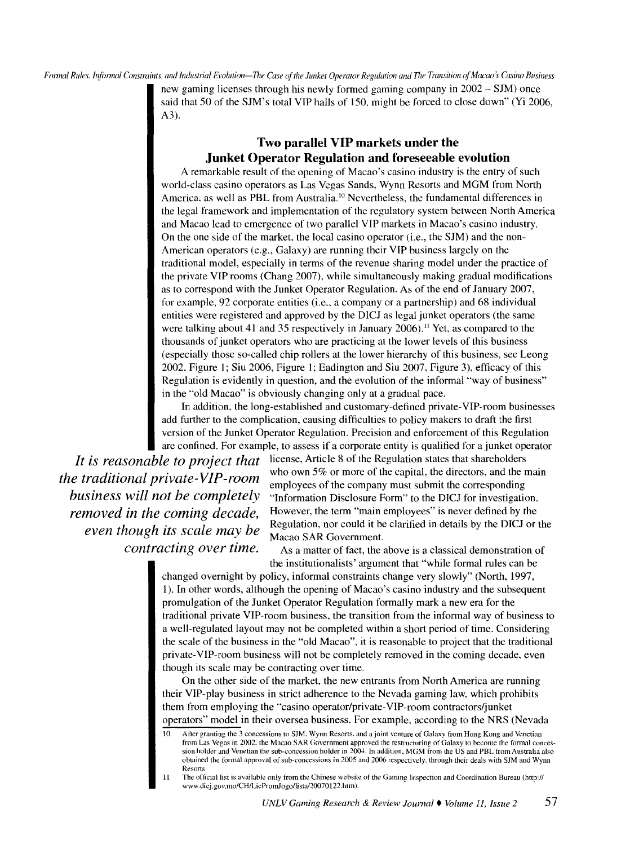*Formal Rules. Informal Constraints, and Industrial Evolution-The Case of the Junket Operator Regulation and The Transition of Macao's Casino Business* 

new gaming licenses through his newly formed gaming company in 2002 - SJM) once said that 50 of the SJM's total VIP halls of 150. might be forced to close down'' (Yi 2006, A3).

# **Two parallel VIP markets under the Junket Operator Regulation and foreseeable evolution**

A remarkable result of the opening of Macao's casino industry is the entry of such world-class casino operators as Las Vegas Sands, Wynn Resorts and MGM from North America, as well as PBL from Australia.<sup>10</sup> Nevertheless, the fundamental differences in the legal framework and implementation of the regulatory system between North America and Macao lead to emergence of two parallel VIP markets in Macao's casino industry. On the one side of the market, the local casino operator (i.e., the SJM) and the non-American operators (e.g., Galaxy) are running their VIP business largely on the traditional model, especially in terms of the revenue sharing model under the practice of the private VIP rooms (Chang 2007), while simultaneously making gradual modifications as to correspond with the Junket Operator Regulation. As of the end of January 2007, for example, 92 corporate entities (i.e., a company or a partnership) and 68 individual entities were registered and approved by the DICJ as legal junket operators (the same were talking about 41 and 35 respectively in January 2006).<sup>11</sup> Yet, as compared to the thousands of junket operators who are practicing at the lower levels of this business (especially those so-called chip rollers at the lower hierarchy of this business, see Leong 2002. Figure I; Siu 2006, Figure I; Eadington and Siu 2007, Figure 3), efficacy of this Regulation is evidently in question, and the evolution of the informal "way of business" in the "old Macao" is obviously changing only at a gradual pace.

In addition, the long-established and customary-defined private-YIP-room businesses add further to the complication, causing difficulties to policy makers to draft the first version of the Junket Operator Regulation. Precision and enforcement of this Regulation are confined. For example, to assess if a corporate entity is qualified for a junket operator

*even though its scale may be*<br>*contracting over time.* 

It is reasonable to project that license, Article 8 of the Regulation states that shareholders *the traditional private-VIP-room* who own 5% or more of the capital, the directors, and the main employees of the company must submit the corresponding *business will not be completely* "Information Disclosure Form" to th *''Information Disclosure Form" to the DICJ for investigation. removed in the coming decade,* However, the term "main employees" is never defined by the Regulation, nor could it be clarified in details by the DICJ or the Macao SAR Government.

> As a matter of fact, the above is a classical demonstration of the institutionalists' argument that "while formal rules can be

changed overnight by policy, informal constraints change very slowly" (North, 1997, 1). In other words, although the opening of Macao's casino industry and the subsequent promulgation of the Junket Operator Regulation formally mark a new era for the traditional private YIP-room business, the transition from the informal way of business to a well-regulated layout may not be completed within a short period of time. Considering the scale of the business in the "old Macao", it is reasonable to project that the traditional private-YIP-room business will not be completely removed in the coming decade. even though its scale may be contracting over time.

On the other side of the market, the new entrants from North America are running their YIP-play business in strict adherence to the Nevada gaming law, which prohibits them from employing the "casino operator/private-YIP-room contractors/junket operators" model in their oversea business. For example. according to the NRS (Nevada

<sup>10</sup> After granting the 3 concessions to SJM. Wynn Resorts. and a joint venture of Galaxy from Hong Kong and Venetian from Las Vegas in 2002. the Macao SAR Government approved the restructuring of Galaxy to become the formal concession holder and Venetian the sub-concession holder in 2004. In addition. MGM from the US and PBL from Australia also obtained the formal approval of sub-concessions in 2005 and 2006 respectively. through their deals with SJM and Wynn **Resorts** 

<sup>11</sup> The official list is available only from the Chinese website of the Gaming Inspection and Coordination Bureau (http:// www.dicj.gov.mo/CH/LicPromJogo/lista/20070122.htm).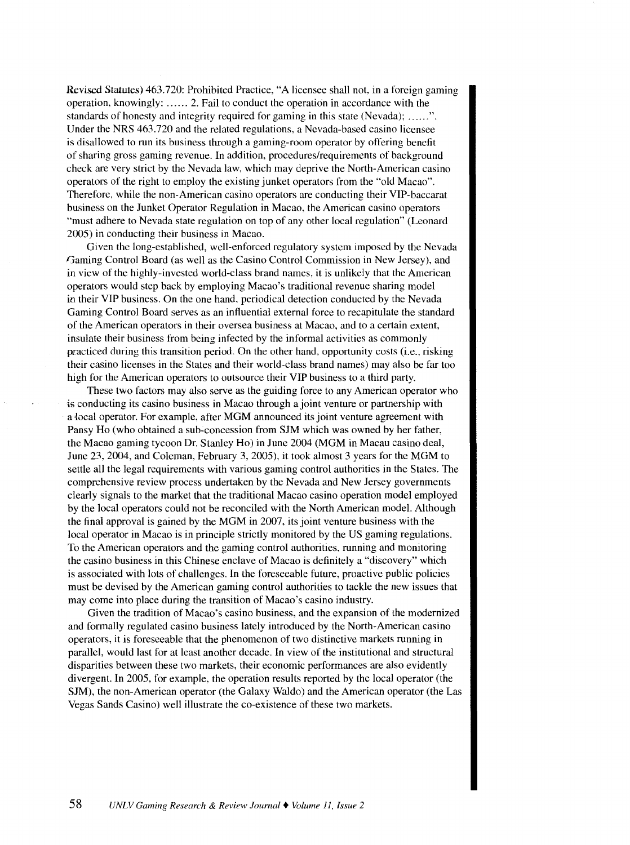Revised Statutes) 463.720: Prohibited Practice, "A licensee shall not, in a foreign gaming operation, knowingly: ...... 2. Fail to conduct the operation in accordance with the standards of honesty and integrity required for gaming in this state (Nevada); ......". Under the NRS 463.720 and the related regulations, a Nevada-based casino licensee is disallowed to run its business through a gaming-room operator by offering benefit of sharing gross gaming revenue. In addition, procedures/requirements of background check are very strict by the Nevada law, which may deprive the North-American casino operators of the right to employ the existing junket operators from the "old Macao". Therefore, while the non-American casino operators are conducting their YIP-baccarat business on the Junket Operator Regulation in Macao, the American casino operators "must adhere to Nevada state regulation on top of any other local regulation" (Leonard 2005) in conducting their business in Macao.

Given the long-established, well-enforced regulatory system imposed by the Nevada Gaming Control Board (as well as the Casino Control Commission in New Jersey), and in view of the highly-invested world-class brand names, it is unlikely that the American operators would step back by employing Macao's traditional revenue sharing model in their VIP business. On the one hand, periodical detection conducted by the Nevada Gaming Control Board serves as an influential external force to recapitulate the standard of the American operators in their oversea business at Macao, and to a certain extent, insulate their business from being infected by the informal activities as commonly practiced during this transition period. On the other hand, opportunity costs (i.e., risking their casino licenses in the States and their world-class brand names) may also be far too high for the American operators to outsource their VIP business to a third party.

These two factors may also serve as the guiding force to any American operator who is conducting its casino business in Macao through a joint venture or partnership with a local operator. For example, after MGM announced its joint venture agreement with Pansy Ho (who obtained a sub-concession from SJM which was owned by her father, the Macao gaming tycoon Dr. Stanley Ho) in June 2004 (MGM in Macau casino deal, June 23, 2004, and Coleman, February 3, 2005), it took almost 3 years for the MGM to settle all the legal requirements with various gaming control authorities in the States. The comprehensive review process undertaken by the Nevada and New Jersey governments clearly signals to the market that the traditional Macao casino operation model employed by the local operators could not be reconciled with the North American model. Although the final approval is gained by the MGM in 2007, its joint venture business with the local operator in Macao is in principle strictly monitored by the US gaming regulations. To the American operators and the gaming control authorities. running and monitoring the casino business in this Chinese enclave of Macao is definitely a "discovery" which is associated with lots of challenges. In the foreseeable future, proactive public policies must be devised by the American gaming control authorities to tackle the new issues that may come into place during the transition of Macao's casino industry.

Given the tradition of Macao's casino business, and the expansion of the modernized and formally regulated casino business lately introduced by the North-American casino operators, it is foreseeable that the phenomenon of two distinctive markets running in parallel, would last for at least another decade. In view of the institutional and structural disparities between these two markets. their economic performances are also evidently divergent. In 2005, for example, the operation results reported by the local operator (the SJM), the non-American operator (the Galaxy Waldo) and the American operator (the Las Vegas Sands Casino) well illustrate the co-existence of these two markets.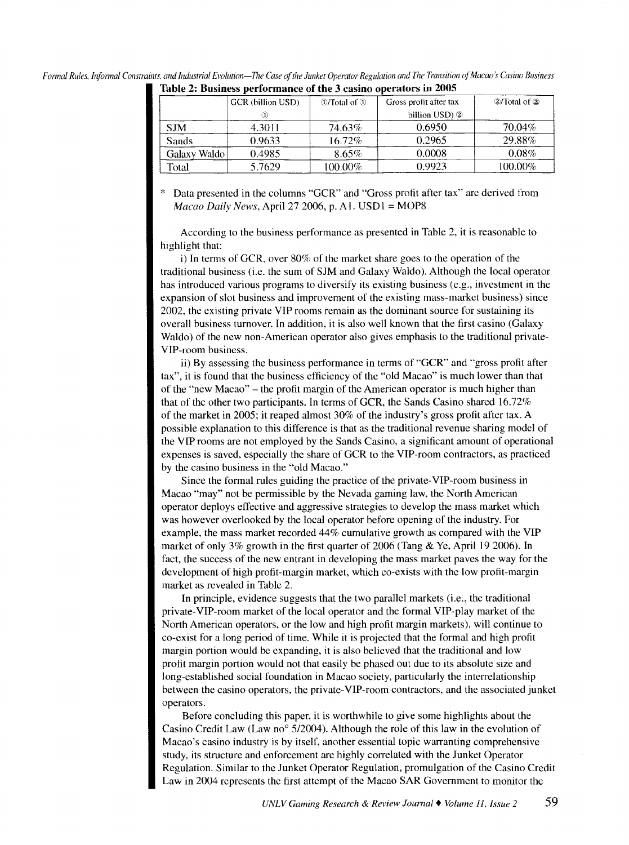|              | <b>GCR</b> (billion USD) | $\mathcal{D}/\text{Total of } \mathcal{D}$ | Gross profit after tax | $\mathcal{D}/\text{Total of } \mathcal{D}$ |
|--------------|--------------------------|--------------------------------------------|------------------------|--------------------------------------------|
|              |                          |                                            | billion USD) 2         |                                            |
| <b>SJM</b>   | 4.3011                   | 74.63%                                     | 0.6950                 | 70.04%                                     |
| Sands        | 0.9633                   | $16.72\%$                                  | 0.2965                 | 29.88%                                     |
| Galaxy Waldo | 0.4985                   | $8.65\%$                                   | 0.0008                 | $0.08\%$                                   |
| Total        | 5.7629                   | 100.00%                                    | 0.9923                 | 100.00%                                    |

| Formal Rules, Informal Constraints, and Industrial Evolution—The Case of the Junket Operator Regulation and The Transition of Macao's Casino Business |  |
|-------------------------------------------------------------------------------------------------------------------------------------------------------|--|
| Table 2: Business performance of the 3 casino operators in 2005                                                                                       |  |

Data presented in the columns "GCR" and "Gross profit after tax" are derived from *Macao Daily News, April 27 2006, p. A1. USD1* = MOP8

According to the business performance as presented in Table 2, it is reasonable to highlight that:

i) In terms of OCR, over 80% of the market share goes to the operation of the traditional business (i.e. the sum of SJM and Galaxy Waldo). Although the local operator has introduced various programs to diversify its existing business (e.g., investment in the expansion of slot business and improvement of the existing mass-market business) since 2002. the existing private VIP rooms remain as the dominant source for sustaining its overall business turnover. In addition, it is also well known that the first casino (Galaxy Waldo) of the new non-American operator also gives emphasis to the traditional private-YIP-room business.

ii) By assessing the business performance in terms of "OCR" and "gross profit after tax", it is found that the business efficiency of the "old Macao" is much lower than that of the "new Macao" - the profit margin of the American operator is much higher than that of the other two participants. In terms of GCR. the Sands Casino shared 16.72% of the market in 2005; it reaped almost 30% of the industry's gross profit after tax. A possible explanation to this ditlerence is that as the traditional revenue sharing model of the VIP rooms are not employed by the Sands Casino, a significant amount of operational expenses is saved, especially the share of GCR to the YIP-room contractors, as practiced by the casino business in the "old Macao."

Since the formal rules guiding the practice of the private-YIP-room business in Macao "may" not be permissible by the Nevada gaming law, the North American operator deploys effective and aggressive strategies to develop the mass market which was however overlooked by the local operator before opening of the industry. For example, the mass market recorded 44% cumulative growth as compared with the VIP market of only 3% growth in the first quarter of 2006 (Tang & Ye, April 19 2006). In fact, the success of the new entrant in developing the mass market paves the way for the development of high profit-margin market, which co-exists with the low profit-margin market as revealed in Table 2.

In principle, evidence suggests that the two parallel markets (i.e., the traditional private-YIP-room market of the local operator and the formal YIP-play market of the North American operators, or the low and high profit margin markets), will continue to co-exist for a long period of time. While it is projected that the formal and high profit margin portion would be expanding, it is also believed that the traditional and low profit margin portion would not that easily be phased out due to its absolute size and long-established social foundation in Macao society, particularly the interrelationship between the casino operators, the private-YIP-room contractors, and the associated junket operators.

Before concluding this paper. it is worthwhile to give some highlights about the Casino Credit Law (Law no<sup>o</sup> 5/2004). Although the role of this law in the evolution of Macao's casino industry is by itself, another essential topic warranting comprehensive study, its structure and enforcement are highly correlated with the Junket Operator Regulation. Similar to the Junket Operator Regulation, promulgation of the Casino Credit Law in 2004 represents the first attempt of the Macao SAR Government to monitor the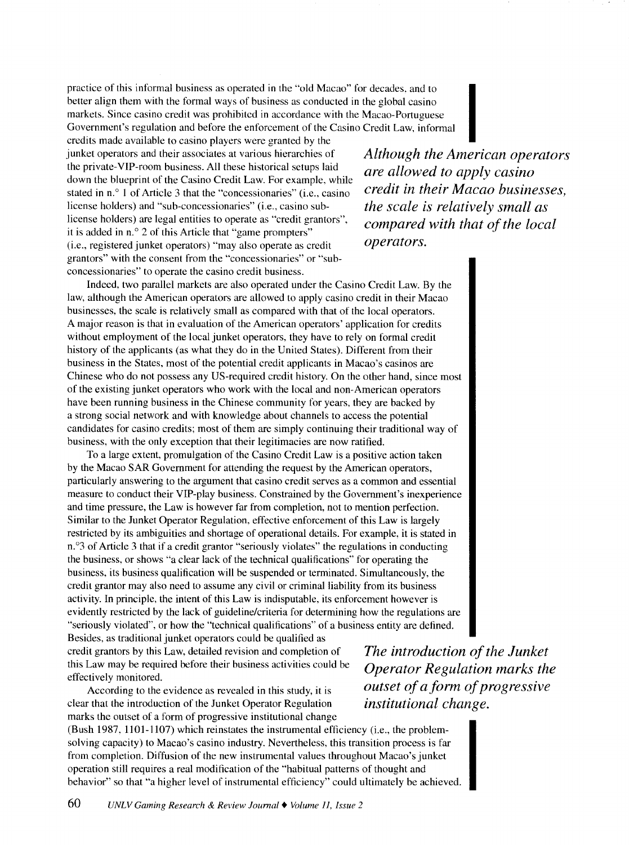practice of this informal business as operated in the "old Macao" for decades. and to better align them with the formal ways of business as conducted in the global casino markets. Since casino credit was prohibited in accordance with the Macao-Portuguese Government's regulation and before the enforcement of the Casino Credit Law, informal practice of this informal business as operated in the "old Macao" for decades, and to<br>better align them with the formal ways of business as conducted in the global casino<br>markets. Since casino credit was prohibited in acco

junket operators and their associates at various hierarchies of the private-YIP-room business. All these historical setups laid down the blueprint of the Casino Credit Law. For example. while stated in n.<sup>o</sup> 1 of Article 3 that the "concessionaries" (i.e., casino license holders) and ''sub-concessionaries" (i.e., casino sublicense holders) are legal entities to operate as "credit grantors", it is added in n.<sup>o</sup> 2 of this Article that "game prompters" (i.e., registered junket operators) "may also operate as credit grantors" with the consent from the '"concessionaries" or "subconcessionaries" to operate the casino credit business.

*Although the American operators are allowed to apply casino credit in their Macao businesses, the scale is relatively small as compared with that of the local operators.* 

Indeed, two parallel markets are also operated under the Casino Credit Law. By the law, although the American operators are allowed to apply casino credit in their Macao businesses, the scale is relatively small as compared with that of the local operators. A major reason is that in evaluation of the American operators' application for credits without employment of the local junket operators, they have to rely on formal credit history of the applicants (as what they do in the United States). Different from their business in the States, most of the potential credit applicants in Macao's casinos are Chinese who do not possess any US-required credit history. On the other hand, since most of the existing junket operators who work with the local and non-American operators have been running business in the Chinese community for years, they are backed by a strong social network and with knowledge about channels to access the potential candidates for casino credits; most of them are simply continuing their traditional way of business, with the only exception that their legitimacies are now ratified.

To a large extent, promulgation of the Casino Credit Law is a positive action taken by the Macao SAR Government for attending the request by the American operators, particularly answering to the argument that casino credit serves as a common and essential measure to conduct their YIP-play business. Constrained by the Government's inexperience and time pressure, the Law is however far from completion, not to mention perfection. Similar to the Junket Operator Regulation, effective enforcement of this Law is largely restricted by its ambiguities and shortage of operational details. For example, it is stated in n.<sup>o</sup>3 of Article 3 that if a credit grantor "seriously violates" the regulations in conducting the business, or shows "a clear lack of the technical qualifications" for operating the business, its business qualification will be suspended or terminated. Simultaneously, the credit grantor may also need to assume any civil or criminal liability from its business activity. In principle, the intent of this Law is indisputable, its enforcement however is evidently restricted by the lack of guideline/criteria for determining how the regulations are "seriously violated", or how the "technical qualifications" of a business entity are defined. Besides, as traditional junket operators could be qualified as

credit grantors by this Law, detailed revision and completion of this Law may be required before their business activities could be effectively monitored.

According to the evidence as revealed in this study, it is clear that the introduction of the Junket Operator Regulation marks the outset of a form of progressive institutional change *The introduction of the Junket Operator Regulation marks the outset of a form of progressive institutional change.* 

(Bush 1987. 1101-1107) which reinstates the instrumental efficiency (i.e., the problemsolving capacity) to Macao's casino industry. Nevertheless, this transition process is far from completion. Diffusion of the new instrumental values throughout Macao's junket operation still requires a real modification of the "habitual patterns of thought and behavior" so that "a higher level of instrumental efficiency" could ultimately be achieved.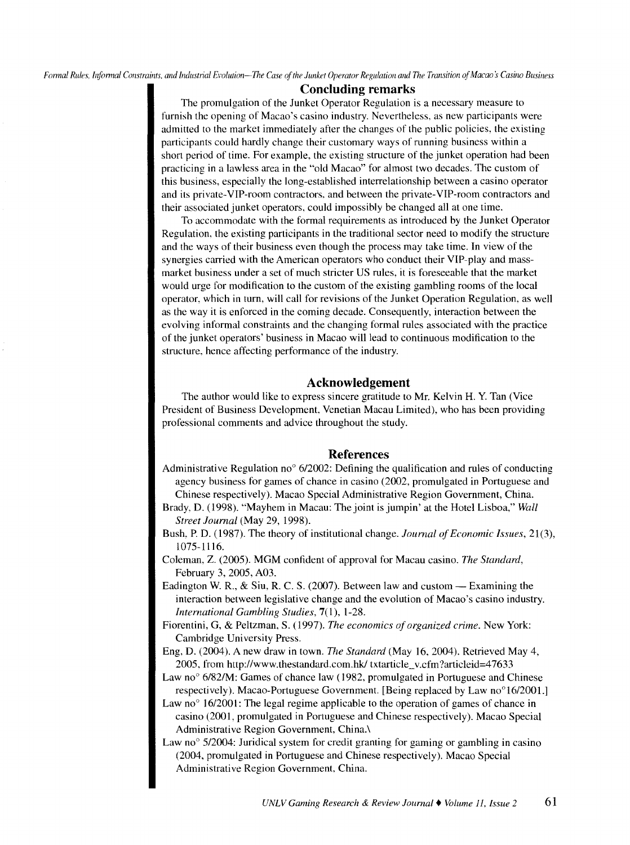*F annal Rules, Infonnal Constraints. and Industrial Evolution-The Case of the Junket Operator Regulation and The Transition of Macao 5 Casino Business* 

# **Concluding remarks**

The promulgation of the Junket Operator Regulation is a necessary measure to furnish the opening of Macao's casino industry. Nevertheless, as new participants were admitted to the market immediately after the changes of the public policies, the existing participants could hardly change their customary ways of running business within a short period of time. For example, the existing structure of the junket operation had been practicing in a lawless area in the "old Macao" for almost two decades. The custom of this business, especially the long-established interrelationship between a casino operator and its private-YIP-room contractors, and between the private-YIP-room contractors and their associated junket operators, could impossibly be changed all at one time.

To accommodate with the formal requirements as introduced by the Junket Operator Regulation, the existing participants in the traditional sector need to modify the structure and the ways of their business even though the process may take time. In view of the synergies carried with the American operators who conduct their YIP-play and massmarket business under a set of much stricter US rules. it is foreseeable that the market would urge for modification to the custom of the existing gambling rooms of the local operator, which in turn, will call for revisions of the Junket Operation Regulation, as well as the way it is enforced in the coming decade. Consequently, interaction between the evolving informal constraints and the changing formal rules associated with the practice of the junket operators' business in Macao will lead to continuous modification to the structure, hence affecting performance of the industry.

## **Acknowledgement**

The author would like to express sincere gratitude to Mr. Kelvin H. Y. Tan (Vice President of Business Development. Venetian Macau Limited), who has been providing professional comments and advice throughout the study.

### **References**

- Administrative Regulation no<sup>o</sup>  $6/2002$ : Defining the qualification and rules of conducting agency business for games of chance in casino (2002, promulgated in Portuguese and Chinese respectively). Macao Special Administrative Region Government, China.
- Brady, D. (1998). "Mayhem in Macau: The joint is jumpin' at the Hotel Lisboa," *Wall Street Journal* (May 29, 1998).
- Bush, P. D. (1987). The theory of institutional change. *Journal of Economic Issues,* 21(3), 1075-1116.
- Coleman, Z. (2005). MGM confident of approval for Macau casino. *The Standard,*  February 3, 2005, A03.
- Eadington W. R., & Siu, R. C. S. (2007). Between law and custom Examining the interaction between legislative change and the evolution of Macao's casino industry. *International Gambling Studies,* 7(1), l-28.

Fiorentini, G, & Peltzman, S. (1997). *The economics of organized crime.* New York: Cambridge University Press.

Eng, D. (2004). A new draw in town. *The Standard* (May 16, 2004). Retrieved May 4, 2005, from http://www.thestandard.com.hkl txtarticle\_ v.cfm ?articleid=47633

Law no $\degree$  6/82/M: Games of chance law (1982, promulgated in Portuguese and Chinese respectively). Macao-Portuguese Government. [Being replaced by Law no<sup>o</sup>16/2001.]

Law no $\degree$  16/2001: The legal regime applicable to the operation of games of chance in casino (2001, promulgated in Portuguese and Chinese respectively). Macao Special Administrative Region Government, China.\

Law no $\degree$  5/2004: Juridical system for credit granting for gaming or gambling in casino (2004, promulgated in Portuguese and Chinese respectively). Macao Special Administrative Region Government, China.